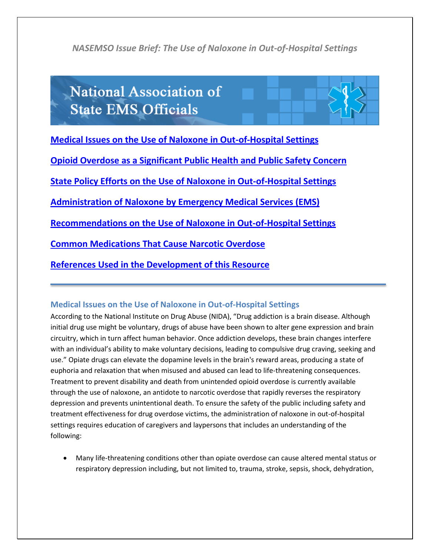# **National Association of State EMS Officials**

**[Medical Issues on the Use of Naloxone in Out-of-Hospital Settings](#page-0-0)**

**[Opioid Overdose as a Significant Public Health and Public Safety Concern](#page-1-0)**

**[State Policy Efforts on the Use of Naloxone in Out-of-Hospital Settings](#page-2-0)** 

**[Administration of Naloxone by Emergency Medical Services \(EMS\)](#page-3-0)**

**[Recommendations on the Use of Naloxone in Out-of-Hospital Settings](#page-3-1)** 

**Common Medications That Cause Narcotic Overdose**

**[References Used in the Development of this Resource](#page-7-0)**

#### <span id="page-0-0"></span>**Medical Issues on the Use of Naloxone in Out-of-Hospital Settings**

According to the National Institute on Drug Abuse (NIDA), "Drug addiction is a brain disease. Although initial drug use might be voluntary, drugs of abuse have been shown to alter gene expression and brain circuitry, which in turn affect human behavior. Once addiction develops, these brain changes interfere with an individual's ability to make voluntary decisions, leading to compulsive drug craving, seeking and use." Opiate drugs can elevate the dopamine levels in the brain's reward areas, producing a state of euphoria and relaxation that when misused and abused can lead to life-threatening consequences. Treatment to prevent disability and death from unintended opioid overdose is currently available through the use of naloxone, an antidote to narcotic overdose that rapidly reverses the respiratory depression and prevents unintentional death. To ensure the safety of the public including safety and treatment effectiveness for drug overdose victims, the administration of naloxone in out-of-hospital settings requires education of caregivers and laypersons that includes an understanding of the following:

 Many life-threatening conditions other than opiate overdose can cause altered mental status or respiratory depression including, but not limited to, trauma, stroke, sepsis, shock, dehydration,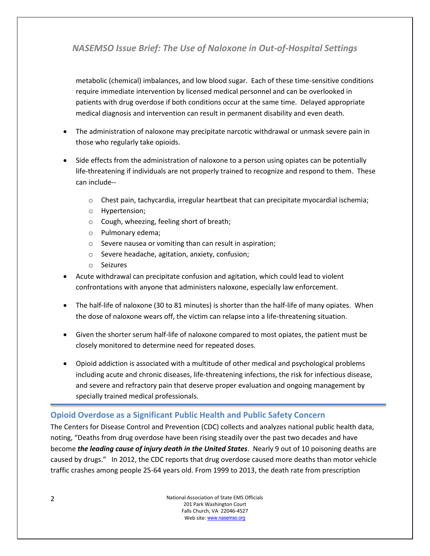metabolic (chemical) imbalances, and low blood sugar. Each of these time-sensitive conditions require immediate intervention by licensed medical personnel and can be overlooked in patients with drug overdose if both conditions occur at the same time. Delayed appropriate medical diagnosis and intervention can result in permanent disability and even death.

- The administration of naloxone may precipitate narcotic withdrawal or unmask severe pain in those who regularly take opioids.
- Side effects from the administration of naloxone to a person using opiates can be potentially life-threatening if individuals are not properly trained to recognize and respond to them. These can include--
	- $\circ$  Chest pain, tachycardia, irregular heartbeat that can precipitate myocardial ischemia;
	- o Hypertension;
	- o Cough, wheezing, feeling short of breath;
	- o Pulmonary edema;
	- o Severe nausea or vomiting than can result in aspiration;
	- o Severe headache, agitation, anxiety, confusion;
	- o Seizures
- Acute withdrawal can precipitate confusion and agitation, which could lead to violent confrontations with anyone that administers naloxone, especially law enforcement.
- The half-life of naloxone (30 to 81 minutes) is shorter than the half-life of many opiates. When the dose of naloxone wears off, the victim can relapse into a life-threatening situation.
- Given the shorter serum half-life of naloxone compared to most opiates, the patient must be closely monitored to determine need for repeated doses.
- Opioid addiction is associated with a multitude of other medical and psychological problems including acute and chronic diseases, life-threatening infections, the risk for infectious disease, and severe and refractory pain that deserve proper evaluation and ongoing management by specially trained medical professionals.

## <span id="page-1-0"></span>**Opioid Overdose as a Significant Public Health and Public Safety Concern**

The Centers for Disease Control and Prevention (CDC) collects and analyzes national public health data, noting, "Deaths from drug overdose have been rising steadily over the past two decades and have become *the leading cause of injury death in the United States*. Nearly 9 out of 10 poisoning deaths are caused by drugs." In 2012, the CDC reports that drug overdose caused more deaths than motor vehicle traffic crashes among people 25-64 years old. From 1999 to 2013, the death rate from prescription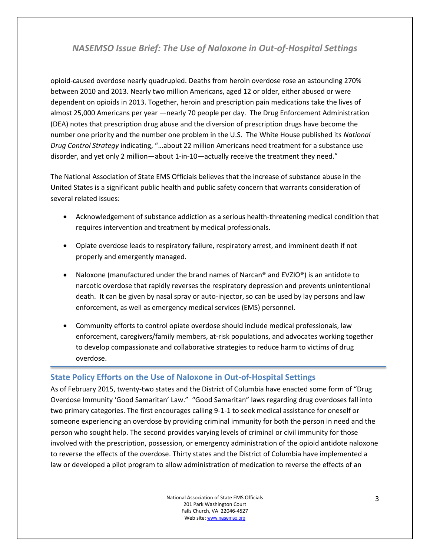opioid-caused overdose nearly quadrupled. Deaths from heroin overdose rose an astounding 270% between 2010 and 2013. Nearly two million Americans, aged 12 or older, either abused or were dependent on opioids in 2013. Together, heroin and prescription pain medications take the lives of almost 25,000 Americans per year —nearly 70 people per day. The Drug Enforcement Administration (DEA) notes that prescription drug abuse and the diversion of prescription drugs have become the number one priority and the number one problem in the U.S. The White House published its *National Drug Control Strategy* indicating, "…about 22 million Americans need treatment for a substance use disorder, and yet only 2 million—about 1-in-10—actually receive the treatment they need."

The National Association of State EMS Officials believes that the increase of substance abuse in the United States is a significant public health and public safety concern that warrants consideration of several related issues:

- Acknowledgement of substance addiction as a serious health-threatening medical condition that requires intervention and treatment by medical professionals.
- Opiate overdose leads to respiratory failure, respiratory arrest, and imminent death if not properly and emergently managed.
- Naloxone (manufactured under the brand names of Narcan® and  $EVZIO<sup>®</sup>$ ) is an antidote to narcotic overdose that rapidly reverses the respiratory depression and prevents unintentional death. It can be given by nasal spray or auto-injector, so can be used by lay persons and law enforcement, as well as emergency medical services (EMS) personnel.
- Community efforts to control opiate overdose should include medical professionals, law enforcement, caregivers/family members, at-risk populations, and advocates working together to develop compassionate and collaborative strategies to reduce harm to victims of drug overdose.

#### <span id="page-2-0"></span>**State Policy Efforts on the Use of Naloxone in Out-of-Hospital Settings**

As of February 2015, twenty-two states and the District of Columbia have enacted some form of "Drug Overdose Immunity 'Good Samaritan' Law." "Good Samaritan" laws regarding drug overdoses fall into two primary categories. The first encourages calling 9-1-1 to seek medical assistance for oneself or someone experiencing an overdose by providing criminal immunity for both the person in need and the person who sought help. The second provides varying levels of criminal or civil immunity for those involved with the prescription, possession, or emergency administration of the opioid antidote naloxone to reverse the effects of the overdose. Thirty states and the District of Columbia have implemented a law or developed a pilot program to allow administration of medication to reverse the effects of an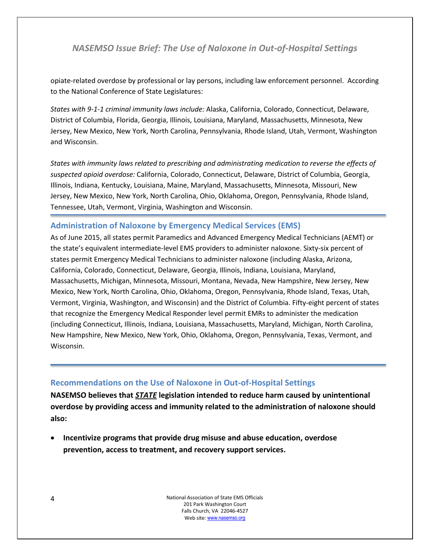opiate-related overdose by professional or lay persons, including law enforcement personnel. According to the National Conference of State Legislatures:

*States with 9-1-1 criminal immunity laws include:* Alaska, California, Colorado, Connecticut, Delaware, District of Columbia, Florida, Georgia, Illinois, Louisiana, Maryland, Massachusetts, Minnesota, New Jersey, New Mexico, New York, North Carolina, Pennsylvania, Rhode Island, Utah, Vermont, Washington and Wisconsin.

*States with immunity laws related to prescribing and administrating medication to reverse the effects of suspected opioid overdose:* California, Colorado, Connecticut, Delaware, District of Columbia, Georgia, Illinois, Indiana, Kentucky, Louisiana, Maine, Maryland, Massachusetts, Minnesota, Missouri, New Jersey, New Mexico, New York, North Carolina, Ohio, Oklahoma, Oregon, Pennsylvania, Rhode Island, Tennessee, Utah, Vermont, Virginia, Washington and Wisconsin.

#### <span id="page-3-0"></span>**Administration of Naloxone by Emergency Medical Services (EMS)**

As of June 2015, all states permit Paramedics and Advanced Emergency Medical Technicians (AEMT) or the state's equivalent intermediate-level EMS providers to administer naloxone. Sixty-six percent of states permit Emergency Medical Technicians to administer naloxone (including Alaska, Arizona, California, Colorado, Connecticut, Delaware, Georgia, Illinois, Indiana, Louisiana, Maryland, Massachusetts, Michigan, Minnesota, Missouri, Montana, Nevada, New Hampshire, New Jersey, New Mexico, New York, North Carolina, Ohio, Oklahoma, Oregon, Pennsylvania, Rhode Island, Texas, Utah, Vermont, Virginia, Washington, and Wisconsin) and the District of Columbia. Fifty-eight percent of states that recognize the Emergency Medical Responder level permit EMRs to administer the medication (including Connecticut, Illinois, Indiana, Louisiana, Massachusetts, Maryland, Michigan, North Carolina, New Hampshire, New Mexico, New York, Ohio, Oklahoma, Oregon, Pennsylvania, Texas, Vermont, and Wisconsin.

#### <span id="page-3-1"></span>**Recommendations on the Use of Naloxone in Out-of-Hospital Settings**

**NASEMSO believes that** *STATE* **legislation intended to reduce harm caused by unintentional overdose by providing access and immunity related to the administration of naloxone should also:** 

 **Incentivize programs that provide drug misuse and abuse education, overdose prevention, access to treatment, and recovery support services.**

> National Association of State EMS Officials 201 Park Washington Court Falls Church, VA 22046-4527 Web site: www.nasemso.org

4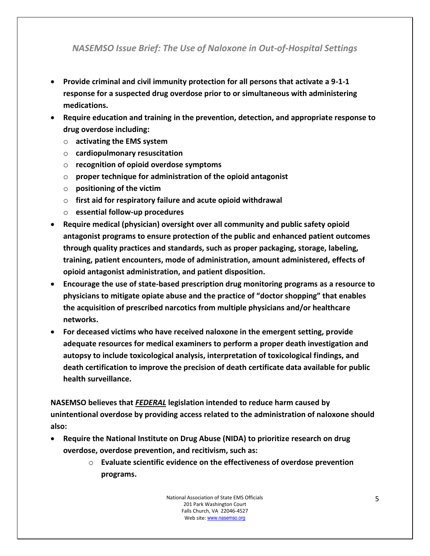- **Provide criminal and civil immunity protection for all persons that activate a 9-1-1 response for a suspected drug overdose prior to or simultaneous with administering medications.**
- **Require education and training in the prevention, detection, and appropriate response to drug overdose including:**
	- o **activating the EMS system**
	- o **cardiopulmonary resuscitation**
	- o **recognition of opioid overdose symptoms**
	- o **proper technique for administration of the opioid antagonist**
	- o **positioning of the victim**
	- o **first aid for respiratory failure and acute opioid withdrawal**
	- o **essential follow-up procedures**
- **Require medical (physician) oversight over all community and public safety opioid antagonist programs to ensure protection of the public and enhanced patient outcomes through quality practices and standards, such as proper packaging, storage, labeling, training, patient encounters, mode of administration, amount administered, effects of opioid antagonist administration, and patient disposition.**
- **Encourage the use of state-based prescription drug monitoring programs as a resource to physicians to mitigate opiate abuse and the practice of "doctor shopping" that enables the acquisition of prescribed narcotics from multiple physicians and/or healthcare networks.**
- **For deceased victims who have received naloxone in the emergent setting, provide adequate resources for medical examiners to perform a proper death investigation and autopsy to include toxicological analysis, interpretation of toxicological findings, and death certification to improve the precision of death certificate data available for public health surveillance.**

**NASEMSO believes that** *FEDERAL* **legislation intended to reduce harm caused by unintentional overdose by providing access related to the administration of naloxone should also:**

- **Require the National Institute on Drug Abuse (NIDA) to prioritize research on drug overdose, overdose prevention, and recitivism, such as:**
	- o **Evaluate scientific evidence on the effectiveness of overdose prevention programs.**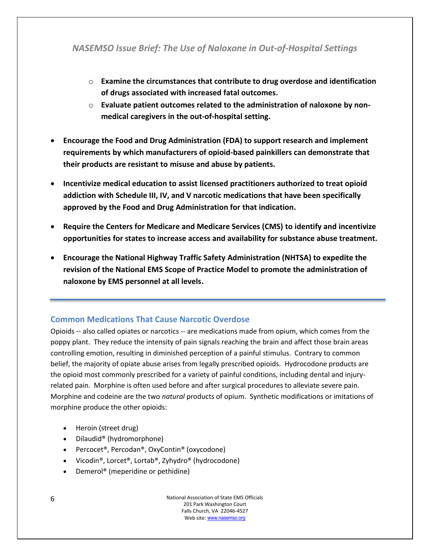- o **Examine the circumstances that contribute to drug overdose and identification of drugs associated with increased fatal outcomes.**
- o **Evaluate patient outcomes related to the administration of naloxone by nonmedical caregivers in the out-of-hospital setting.**
- **Encourage the Food and Drug Administration (FDA) to support research and implement requirements by which manufacturers of opioid-based painkillers can demonstrate that their products are resistant to misuse and abuse by patients.**
- **Incentivize medical education to assist licensed practitioners authorized to treat opioid addiction with Schedule III, IV, and V narcotic medications that have been specifically approved by the Food and Drug Administration for that indication.**
- **Require the Centers for Medicare and Medicare Services (CMS) to identify and incentivize opportunities for states to increase access and availability for substance abuse treatment.**
- **Encourage the National Highway Traffic Safety Administration (NHTSA) to expedite the revision of the National EMS Scope of Practice Model to promote the administration of naloxone by EMS personnel at all levels.**

## **Common Medications That Cause Narcotic Overdose**

Opioids -- also called opiates or narcotics -- are medications made from opium, which comes from the poppy plant. They reduce the intensity of pain signals reaching the brain and affect those brain areas controlling emotion, resulting in diminished perception of a painful stimulus. Contrary to common belief, the majority of opiate abuse arises from legally prescribed opioids. Hydrocodone products are the opioid most commonly prescribed for a variety of painful conditions, including dental and injuryrelated pain. Morphine is often used before and after surgical procedures to alleviate severe pain. Morphine and codeine are the two *natural* products of opium. Synthetic modifications or imitations of morphine produce the other opioids:

- Heroin (street drug)
- Dilaudid<sup>®</sup> (hydromorphone)
- Percocet®, Percodan®, OxyContin® (oxycodone)
- Vicodin®, Lorcet®, Lortab®, Zyhydro® (hydrocodone)
- Demerol<sup>®</sup> (meperidine or pethidine)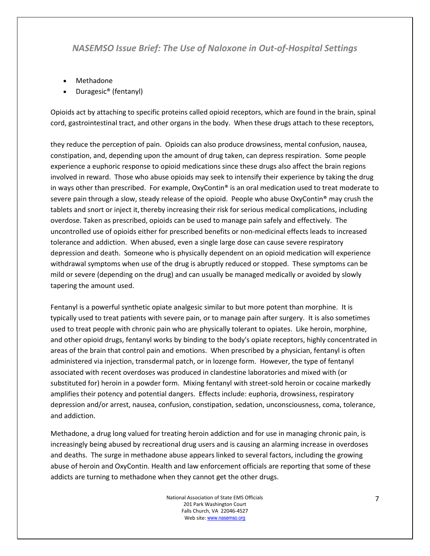- Methadone
- Duragesic® (fentanyl)

Opioids act by attaching to specific proteins called opioid receptors, which are found in the brain, spinal cord, gastrointestinal tract, and other organs in the body. When these drugs attach to these receptors,

they reduce the perception of pain. Opioids can also produce drowsiness, mental confusion, nausea, constipation, and, depending upon the amount of drug taken, can depress respiration. Some people experience a euphoric response to opioid medications since these drugs also affect the brain regions involved in reward. Those who abuse opioids may seek to intensify their experience by taking the drug in ways other than prescribed. For example, OxyContin® is an oral medication used to treat moderate to severe pain through a slow, steady release of the opioid. People who abuse OxyContin® may crush the tablets and snort or inject it, thereby increasing their risk for serious medical complications, including overdose. Taken as prescribed, opioids can be used to manage pain safely and effectively. The uncontrolled use of opioids either for prescribed benefits or non-medicinal effects leads to increased tolerance and addiction. When abused, even a single large dose can cause severe respiratory depression and death. Someone who is physically dependent on an opioid medication will experience withdrawal symptoms when use of the drug is abruptly reduced or stopped. These symptoms can be mild or severe (depending on the drug) and can usually be managed medically or avoided by slowly tapering the amount used.

Fentanyl is a powerful synthetic opiate analgesic similar to but more potent than morphine. It is typically used to treat patients with severe pain, or to manage pain after surgery. It is also sometimes used to treat people with chronic pain who are physically tolerant to opiates. Like heroin, morphine, and other opioid drugs, fentanyl works by binding to the body's opiate receptors, highly concentrated in areas of the brain that control pain and emotions. When prescribed by a physician, fentanyl is often administered via injection, transdermal patch, or in lozenge form. However, the type of fentanyl associated with recent overdoses was produced in clandestine laboratories and mixed with (or substituted for) heroin in a powder form. Mixing fentanyl with street-sold heroin or cocaine markedly amplifies their potency and potential dangers. Effects include: euphoria, drowsiness, respiratory depression and/or arrest, nausea, confusion, constipation, sedation, unconsciousness, coma, tolerance, and addiction.

Methadone, a drug long valued for treating heroin addiction and for use in managing chronic pain, is increasingly being abused by recreational drug users and is causing an alarming increase in overdoses and deaths. The surge in methadone abuse appears linked to several factors, including the growing abuse of heroin and OxyContin. Health and law enforcement officials are reporting that some of these addicts are turning to methadone when they cannot get the other drugs.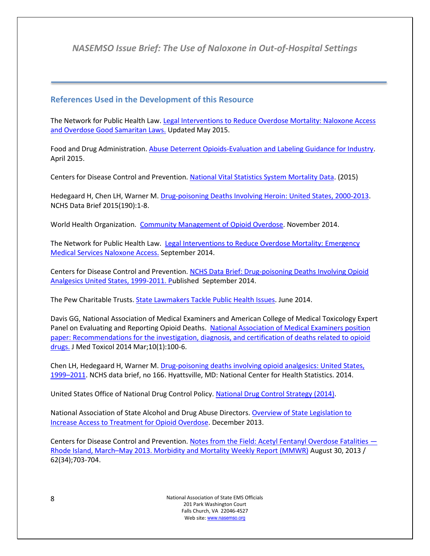## <span id="page-7-0"></span>**References Used in the Development of this Resource**

The Network for Public Health Law. [Legal Interventions to Reduce Overdose Mortality: Naloxone Access](https://www.networkforphl.org/_asset/qz5pvn/network-naloxone-10-4.pdf)  [and Overdose Good Samaritan Laws.](https://www.networkforphl.org/_asset/qz5pvn/network-naloxone-10-4.pdf) Updated May 2015.

Food and Drug Administration. [Abuse Deterrent Opioids-Evaluation and Labeling Guidance for Industry.](http://www.fda.gov/downloads/drugs/guidancecomplianceregulatoryinformation/guidances/ucm334743.pdf) April 2015.

Centers for Disease Control and Prevention. [National Vital Statistics System Mortality Data.](http://www.cdc.gov/nchs/deaths.htm) (2015)

Hedegaard H, Chen LH, Warner M[. Drug-poisoning Deaths Involving Heroin: United States, 2000-2013.](http://www.cdc.gov/nchs/data/databriefs/db190.pdf) NCHS Data Brief 2015(190):1-8.

World Health Organization. [Community Management of Opioid Overdose.](http://www.who.int/substance_abuse/publications/management_opioid_overdose/en/) November 2014.

The Network for Public Health Law. Legal Interventions to Reduce Overdose Mortality: Emergency [Medical Services Naloxone Access.](https://www.networkforphl.org/_asset/8b7kmi/EMS-naloxone-overview.pdf) September 2014.

Centers for Disease Control and Prevention. [NCHS Data Brief: Drug-poisoning Deaths Involving Opioid](http://www.cdc.gov/nchs/data/databriefs/db166.htm.)  [Analgesics United States, 1999-2011. Pu](http://www.cdc.gov/nchs/data/databriefs/db166.htm.)blished September 2014.

The Pew Charitable Trusts[. State Lawmakers Tackle Public Health Issues.](http://www.pewtrusts.org/en/research-and-analysis/blogs/stateline/2014/06/09/state-lawmakers-tackle-public-health-issues) June 2014.

Davis GG, National Association of Medical Examiners and American College of Medical Toxicology Expert Panel on Evaluating and Reporting Opioid Deaths. National Association of Medical Examiners position [paper: Recommendations for the investigation, diagnosis, and certification of deaths related to opioid](http://www.ncbi.nlm.nih.gov/pmc/articles/PMC3951636/)  [drugs.](http://www.ncbi.nlm.nih.gov/pmc/articles/PMC3951636/) J Med Toxicol 2014 Mar;10(1):100-6.

Chen LH, Hedegaard H, Warner M[. Drug-poisoning deaths involving opioid analgesics: United States,](http://www.cdc.gov/nchs/data/databriefs/db166.pdf)  1999–[2011.](http://www.cdc.gov/nchs/data/databriefs/db166.pdf) NCHS data brief, no 166. Hyattsville, MD: National Center for Health Statistics. 2014.

United States Office of National Drug Control Policy. [National Drug Control Strategy \(2014\).](http://www.whitehouse.gov/ondcp/national-drug-control-strategy)

National Association of State Alcohol and Drug Abuse Directors. [Overview of State Legislation to](http://nasadad.org/wp-content/uploads/2013/12/Opioid-Overdose-Policy-Brief-Final5.pdf)  [Increase Access to Treatment for Opioid Overdose.](http://nasadad.org/wp-content/uploads/2013/12/Opioid-Overdose-Policy-Brief-Final5.pdf) December 2013.

Centers for Disease Control and Prevention. [Notes from the Field: Acetyl Fentanyl Overdose Fatalities](http://www.cdc.gov/mmwr/preview/mmwrhtml/mm6234a5.htm) — Rhode Island, March–[May 2013. Morbidity and Mortality Weekly Report \(MMWR\)](http://www.cdc.gov/mmwr/preview/mmwrhtml/mm6234a5.htm) August 30, 2013 / 62(34);703-704.